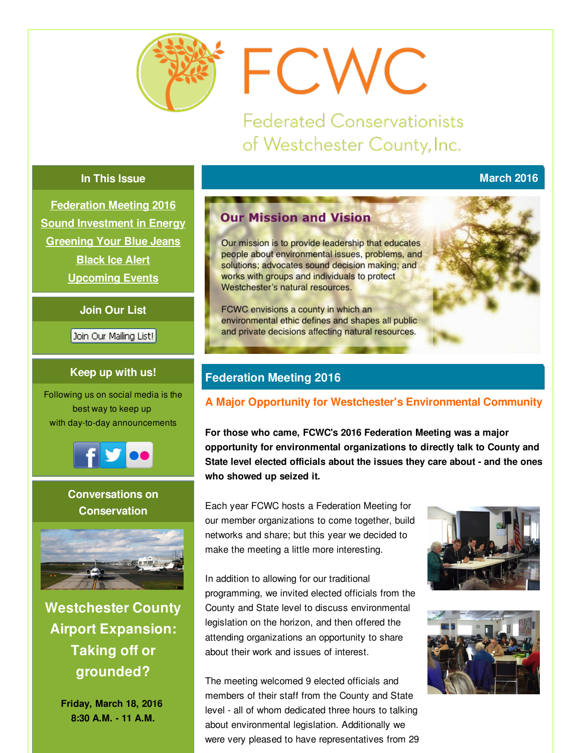<span id="page-0-0"></span>

# FCWC

**Federated Conservationists** of Westchester County, Inc.

## **In This Issue**

**[Federation](#page-0-0) Meeting 2016 Sound [Investment](#page-0-0) in Energy [Greening](#page-0-0) Your Blue Jeans [Black](#page-0-0) Ice Alert [Upcoming](#page-0-0) Events**

## **Join Our List**

Join Our Mailing List!

## **Keep up with us!**

Following us on social media is the best way to keep up with day-to-day announcements



**Conversations on Conservation**



**Westchester County Airport Expansion: Taking off or grounded?**

> **Friday, March 18, 2016 8:30 A.M. - 11 A.M.**

# **Our Mission and Vision**

Our mission is to provide leadership that educates people about environmental issues, problems, and solutions; advocates sound decision making; and works with groups and individuals to protect Westchester's natural resources.

FCWC envisions a county in which an environmental ethic defines and shapes all public and private decisions affecting natural resources.

## **Federation Meeting 2016**

## **A Major Opportunity for Westchester's Environmental Community**

**For those who came, FCWC's 2016 Federation Meeting was a major opportunity for environmental organizations to directly talk to County and State level elected officials about the issues they care about - and the ones who showed up seized it.**

Each year FCWC hosts a Federation Meeting for our member organizations to come together, build networks and share; but this year we decided to make the meeting a little more interesting.

In addition to allowing for our traditional programming, we invited elected officials from the County and State level to discuss environmental legislation on the horizon, and then offered the attending organizations an opportunity to share about their work and issues of interest.

The meeting welcomed 9 elected officials and members of their staff from the County and State level - all of whom dedicated three hours to talking about environmental legislation. Additionally we were very pleased to have representatives from 29





## **March 2016**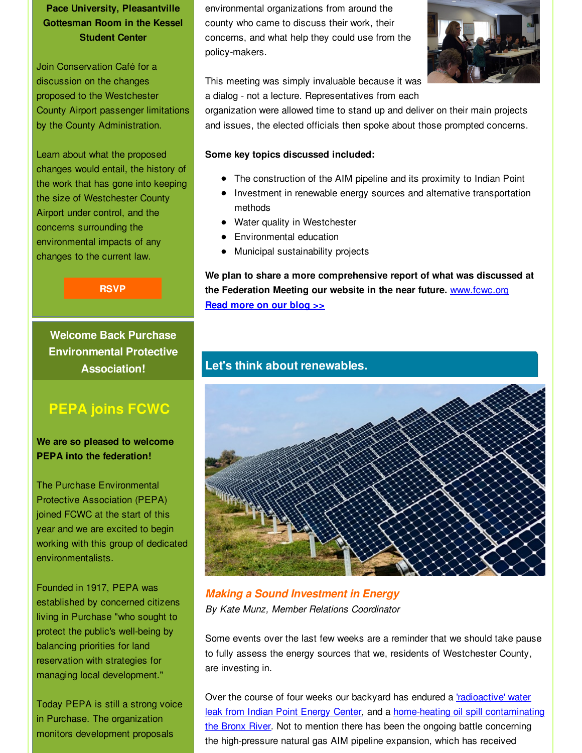## **Pace University, Pleasantville Gottesman Room in the Kessel Student Center**

Join Conservation Café for a discussion on the changes proposed to the Westchester County Airport passenger limitations by the County Administration.

Learn about what the proposed changes would entail, the history of the work that has gone into keeping the size of Westchester County Airport under control, and the concerns surrounding the environmental impacts of any changes to the current law.

**[RSVP](http://r20.rs6.net/tn.jsp?f=0015oD_RrdtRM47rXRe36hAja--dt-fg56Elobhwm1R1TeimWIunxAJxGW8o6PUi-9X1MhMse9xMq1qpMax1AVNYoOkf2-FESOJduxTvIdgZjaw33eu5I-pjDhD0hmFr8E1ZcP6Dku4aqUikWJ2gvvrvMQ0YWcIeC4SPGBXLw47-6qqyDUdbSsG96lGVpNoohQpEouAUI1zsCXIbDtcLqQSEnUMZ-XWRaTBmZJSA_grkeeDUCCAyl3JkIUNM7Uw6pS7VkC3x4y813mQjAIJThu86PxypUef8x2R&c=&ch=)**

**Welcome Back Purchase Environmental Protective Association!**

# **PEPA joins FCWC**

**We are so pleased to welcome PEPA into the federation!**

The Purchase Environmental Protective Association (PEPA) joined FCWC at the start of this year and we are excited to begin working with this group of dedicated environmentalists.

Founded in 1917, PEPA was established by concerned citizens living in Purchase "who sought to protect the public's well-being by balancing priorities for land reservation with strategies for managing local development."

Today PEPA is still a strong voice in Purchase. The organization monitors development proposals

environmental organizations from around the county who came to discuss their work, their concerns, and what help they could use from the policy-makers.



This meeting was simply invaluable because it was a dialog - not a lecture. Representatives from each

organization were allowed time to stand up and deliver on their main projects and issues, the elected officials then spoke about those prompted concerns.

## **Some key topics discussed included:**

- The construction of the AIM pipeline and its proximity to Indian Point
- Investment in renewable energy sources and alternative transportation methods
- Water quality in Westchester
- Environmental education
- Municipal sustainability projects

**We plan to share a more comprehensive report of what was discussed at the Federation Meeting our website in the near future.** [www.fcwc.org](http://r20.rs6.net/tn.jsp?f=0015oD_RrdtRM47rXRe36hAja--dt-fg56Elobhwm1R1TeimWIunxAJxPCZfc8gab2nBVGWebmVsSKxrn63G8k0t1A6i-dZi7orQQT-DDRf2Ju27ZjdaywT4VGjADgOaIOar0CyJOQzwBn66mcaq4iCVxwOVvuRL7R6VPIjsPdJKRg=&c=&ch=) **Read [more](http://r20.rs6.net/tn.jsp?f=0015oD_RrdtRM47rXRe36hAja--dt-fg56Elobhwm1R1TeimWIunxAJxGW8o6PUi-9XFABoq-92ca7jjjB_4w11fQjrmMC2yTi1L09-bKAZkk5Nf2ZbuS6xP5shMI5K8B2Jjp1znd6_oS71tH7K1TDmD4jJqbZHUuuNGZpBa_7vF9Hzubkz499za3Aq25XwcxC9o_-T1iEVFUz8PgGPbrY9OIdx-YwP1D6squl-58EBHkYxy-bRKq6fKsSDeUaLmHsRJVPg0n0crzp4WASxiG4JukXgdoHLvKyZEBT37YKR39JoAlc8EUaqKXtkKLTXFLNx&c=&ch=) on our blog >>**

## **Let's think about renewables.**



*Making a Sound Investment in Energy By Kate Munz, Member Relations Coordinator*

Some events over the last few weeks are a reminder that we should take pause to fully assess the energy sources that we, residents of Westchester County, are investing in.

Over the course of four weeks our backyard has endured a **'radioactive' water** leak from Indian Point Energy Center, and a [home-heating](http://r20.rs6.net/tn.jsp?f=0015oD_RrdtRM47rXRe36hAja--dt-fg56Elobhwm1R1TeimWIunxAJxGW8o6PUi-9XsHuQegK9wAaNCd14SKF-TmPHse408vP2KEYkEoMX_cxeDUPRVAZyhTplCqTvYdfdn5qDayJWLZUPA8xaIXyAJ_xnWB0X6RVhBx8-8Rt5u31uCUMPVoP9N3lFXyMYTcMLO6KBV-TxMrbAVzD32f4l136CrZsA-AlhIQ07DGnNAY3E276PGyUyjtdrv-zqpVELsBIF8d2b9YsJlP0Cyk2j-7MPGEb94G00A3IFVDCBTHCvHdlcfAzy4-gPOa-BzR5R6C2MZkWPW4-16ED3o7nuvw==&c=&ch=) oil spill [contaminating](http://r20.rs6.net/tn.jsp?f=0015oD_RrdtRM47rXRe36hAja--dt-fg56Elobhwm1R1TeimWIunxAJxGW8o6PUi-9XDeHi1VJBrbIRvwrXwmZbyi0E1XuLlse_j8qC28DZ2TmDADLKiDXVmQHT8Se89g9Pqoo8ULqITfoP4iz74FuX_IUp71vsISsQf53yTkYqf6-orSMDas9Ucdlm262HgMUmJFFRe81ul8UYFz0XnhZp7yNuEMuLS_1EHJipKPb5ZIcQZlNd9ezbAbhp3ooqKVPh2ULxDGdPGILJ4EQxBg0YMg==&c=&ch=) the Bronx River. Not to mention there has been the ongoing battle concerning the high-pressure natural gas AIM pipeline expansion, which has received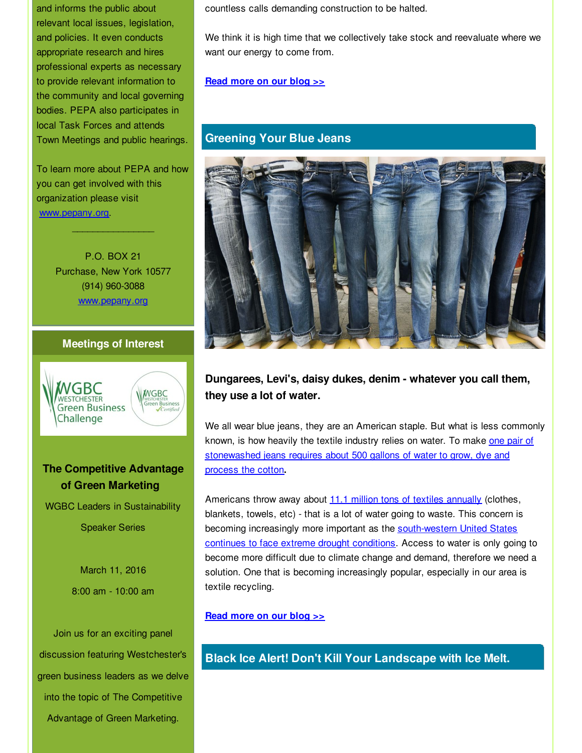and informs the public about relevant local issues, legislation, and policies. It even conducts appropriate research and hires professional experts as necessary to provide relevant information to the community and local governing bodies. PEPA also participates in local Task Forces and attends Town Meetings and public hearings.

To learn more about PEPA and how you can get involved with this organization please visit [www.pepany.org](http://r20.rs6.net/tn.jsp?f=0015oD_RrdtRM47rXRe36hAja--dt-fg56Elobhwm1R1TeimWIunxAJxGW8o6PUi-9XXOz4nXHDibwUWP1lK2ouzuuTX8nl2MSGWFS13fcZB9_5FlzpIilcM1FbZiWz_2W1bWr16bLx2a90-cTsybtN8fssVdAxy7_lV2DQDHCUUS9aPSzi4qafNA==&c=&ch=).

 $\mathcal{L}=\mathcal{L}=\mathcal{L}=\mathcal{L}=\mathcal{L}=\mathcal{L}=\mathcal{L}=\mathcal{L}=\mathcal{L}=\mathcal{L}=\mathcal{L}=\mathcal{L}=\mathcal{L}=\mathcal{L}=\mathcal{L}=\mathcal{L}=\mathcal{L}=\mathcal{L}=\mathcal{L}=\mathcal{L}=\mathcal{L}=\mathcal{L}=\mathcal{L}=\mathcal{L}=\mathcal{L}=\mathcal{L}=\mathcal{L}=\mathcal{L}=\mathcal{L}=\mathcal{L}=\mathcal{L}=\mathcal{L}=\mathcal{L}=\mathcal{L}=\mathcal{L}=\mathcal{L}=\mathcal{$ 

P.O. BOX 21 Purchase, New York 10577 (914) 960-3088 [www.pepany.org](http://r20.rs6.net/tn.jsp?f=0015oD_RrdtRM47rXRe36hAja--dt-fg56Elobhwm1R1TeimWIunxAJxGW8o6PUi-9X_ZYF-vn6H46AHsSg2c8HnqHHjB7QFhLBU3ZXD1Oe9mQFyRZ5Ap1tPrQMaQenao5sE6Y8lddOFg9L7Cr23MQSKrOyEOJRcRxyt6qJc4hDtwk=&c=&ch=)

## **Meetings of Interest**



## **The Competitive Advantage of Green Marketing**

WGBC Leaders in Sustainability Speaker Series

March 11, 2016 8:00 am - 10:00 am

Join us for an exciting panel discussion featuring Westchester's green business leaders as we delve into the topic of The Competitive Advantage of Green Marketing.

countless calls demanding construction to be halted.

We think it is high time that we collectively take stock and reevaluate where we want our energy to come from.

## **Read [more](http://r20.rs6.net/tn.jsp?f=0015oD_RrdtRM47rXRe36hAja--dt-fg56Elobhwm1R1TeimWIunxAJxGW8o6PUi-9XZ4uwXSgdTZo3vNHx7La1vJfMXqzxdAo0MjJI9mj1K0dr9QLxnGDSyH548FFt0QlBIsEWCl1uaGC17qKJW3Mlf-8QmJavjHnPjX2ZCylyfiiH-DpWGUUC8v-UQrdvrgXyy6NN002gLgOBzOyj8nFnUXvo-vUU_8Mi-V-iLR042QTvFcKMfVz-tlDPZ7wiu69K&c=&ch=) on our blog >>**

## **Greening Your Blue Jeans**



**Dungarees, Levi's, daisy dukes, denim - whatever you call them, they use a lot of water.**

We all wear blue jeans, they are an American staple. But what is less commonly known, is how heavily the textile industry relies on water. To make one pair of [stonewashed](http://r20.rs6.net/tn.jsp?f=0015oD_RrdtRM47rXRe36hAja--dt-fg56Elobhwm1R1TeimWIunxAJxGW8o6PUi-9XZ-IEfgGYYQ0SBd5kI2yYQ0oD1VQIYxnSBUAtg__XOeW5PVL1bnL_Zz7CEXYzplbm8T2_BRERzZ9Jf0HFknZRkpLNfk3kW18H-KvSbkojHFSmBHEhqenLmSkTJT7f79Zw34Ffco2v5-Gayl5enjqstoQ-Dlbte5t4Inguim95kSs2V1mDQNYLpRc7gGP3eyiH&c=&ch=) jeans requires about 500 gallons of water to grow, dye and process the cotton**.**

Americans throw away about 11.1 million tons of textiles [annually](http://r20.rs6.net/tn.jsp?f=0015oD_RrdtRM47rXRe36hAja--dt-fg56Elobhwm1R1TeimWIunxAJxGW8o6PUi-9XZ-IEfgGYYQ0SBd5kI2yYQ0oD1VQIYxnSBUAtg__XOeW5PVL1bnL_Zz7CEXYzplbm8T2_BRERzZ9Jf0HFknZRkpLNfk3kW18H-KvSbkojHFSmBHEhqenLmSkTJT7f79Zw34Ffco2v5-Gayl5enjqstoQ-Dlbte5t4Inguim95kSs2V1mDQNYLpRc7gGP3eyiH&c=&ch=) (clothes, blankets, towels, etc) - that is a lot of water going to waste. This concern is becoming increasingly more important as the [south-western](http://r20.rs6.net/tn.jsp?f=0015oD_RrdtRM47rXRe36hAja--dt-fg56Elobhwm1R1TeimWIunxAJxGW8o6PUi-9XwawEMNZPWz6vJXEzuKVGlIlEVRMdx-rUsHnxgaBS0Gq4pfbLDYHljQ0ju0DLESwKscNl270Xy1z7JiSpvYcFUwp0EwcL-CxesgzARAFKG-Z9J-M-7rY6CA==&c=&ch=) United States continues to face extreme drought conditions. Access to water is only going to become more difficult due to climate change and demand, therefore we need a solution. One that is becoming increasingly popular, especially in our area is textile recycling.

### **Read [more](http://r20.rs6.net/tn.jsp?f=0015oD_RrdtRM47rXRe36hAja--dt-fg56Elobhwm1R1TeimWIunxAJxGW8o6PUi-9XNZg3pOGbGSBR3TYBs1gKYttpzumtUmHdpzxEt77myjevfEH2DLLc3-JyW1xPyDbL6JdRrZN4UrEe-zmEcqNaIRirJUU3OWXMjjATbFAA8G8JM41LjmWKUu78feJX_71Qyf8P7pUZ3jWhzHuyWb5VqSDJPJ4xysPhVU0dp_MgOqA=&c=&ch=) on our blog >>**

## **Black Ice Alert! Don't Kill Your Landscape with Ice Melt.**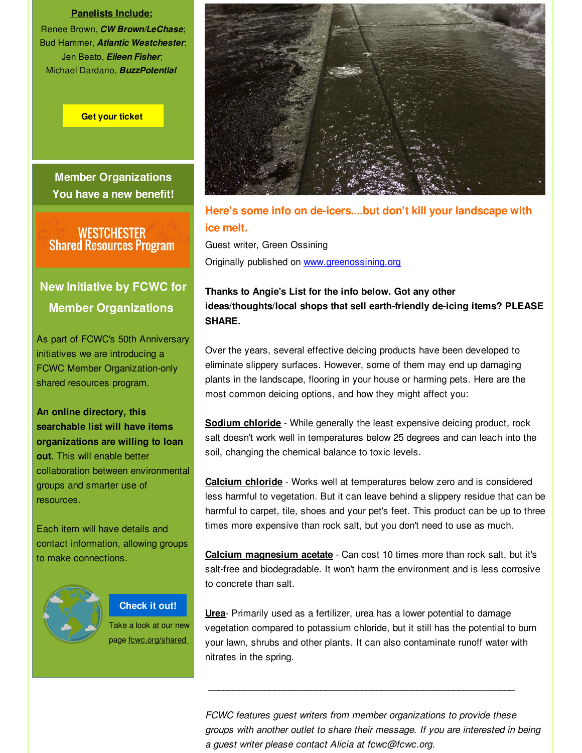#### **Panelists Include:**

Renee Brown, *CW Brown/LeChase*; Bud Hammer, *Atlantic Westchester*; Jen Beato, *Eileen Fisher*; Michael Dardano, *BuzzPotential*

#### **Get your [ticket](http://r20.rs6.net/tn.jsp?f=0015oD_RrdtRM47rXRe36hAja--dt-fg56Elobhwm1R1TeimWIunxAJxGW8o6PUi-9XQg5rPh4Mf5-5cAvaFl1XTbsobl2ujN5gnvZPN4_aYcQ9PZk66jwPxtsv1oSR4k3VvWKT24anHDXFiufySc7S205Ld3YCMI4X_bwbvSmtJ7xHYiu6I7UnBA5vWRFjGhdL_gHYfLdGw_z0XAIm1gUOfDRayovDtpbuTI7UExrklPXOIfad8Jg2IBfIs7kTKDGgROend2qcDHeJqWk8h_p57tNS5vIAZcshCXN4ckNdTodvdv1gG9APDGhurEBWt1EfxD7attyfbmjHtRAwRmpBh6HIJfmoM09I1KYNXnUODxB5M0gwTg1XIgw33yRr2ItiFBWfOTkdO1vvE8euDuRPIGTf-6w3Fwd8lSa1DK42h6qzNGg9P4x908iX195STvburRN_sQ5Xi2mRgoNnj9YQW9ivUbE4L1n_2Xb8Wwbd_bQcfd_goxkeix8pfJbU8folisDf3A-kBIGOe6tFsa20_tcWhqTrXCsRaPn8xc9J4nyQqynp4q4sok59bnRFOaWqGFAaaXubwpCQJE-MvfHuXA==&c=&ch=)**

**Member Organizations You have a new benefit!**

WESTCHESTER<br>Shared Resources Program

# **New Initiative by FCWC for Member Organizations**

As part of FCWC's 50th Anniversary initiatives we are introducing a FCWC Member Organization-only shared resources program.

**An online directory, this searchable list will have items organizations are willing to loan out.** This will enable better collaboration between environmental groups and smarter use of resources.

Each item will have details and contact information, allowing groups to make connections.



## **[Check](http://r20.rs6.net/tn.jsp?f=0015oD_RrdtRM47rXRe36hAja--dt-fg56Elobhwm1R1TeimWIunxAJxAu_pT8C2V45_koR_YC48FlzHfFICMv1Xlznan5naOiuID1YzdmhwK0qpnoQItygh_XKGXTfNY8dLFrEew9UOH2RJWbFPkIJlN3vPIksUPATGSzs7aeT--x7XFpgTPVNxbr034WwaXz2&c=&ch=) it out!**

Take a look at our new page fcwc.org/shared



**Here's some info on de-icers....but don't kill your landscape with ice melt.**

Guest writer, Green Ossining Originally published on [www.greenossining.org](http://r20.rs6.net/tn.jsp?f=0015oD_RrdtRM47rXRe36hAja--dt-fg56Elobhwm1R1TeimWIunxAJxGW8o6PUi-9XYEq9_G7DInKFA7qiYl2ImBgXGTs1heMaLS5XyGFJ70REw_ymj7CRDiaPkKTl0-IfXfOnKhKAgyAKwMe7UrE--jtyZiAW8xwRXJi5DlRIUF6D2_hixO-bLt3TbtYAlF0Z&c=&ch=)

## **Thanks to Angie's List for the info below. Got any other ideas/thoughts/local shops that sell earth-friendly de-icing items? PLEASE SHARE.**

Over the years, several effective deicing products have been developed to eliminate slippery surfaces. However, some of them may end up damaging plants in the landscape, flooring in your house or harming pets. Here are the most common deicing options, and how they might affect you:

**Sodium chloride** - While generally the least expensive deicing product, rock salt doesn't work well in temperatures below 25 degrees and can leach into the soil, changing the chemical balance to toxic levels.

**Calcium chloride** - Works well at temperatures below zero and is considered less harmful to vegetation. But it can leave behind a slippery residue that can be harmful to carpet, tile, shoes and your pet's feet. This product can be up to three times more expensive than rock salt, but you don't need to use as much.

**Calcium magnesium acetate** - Can cost 10 times more than rock salt, but it's salt-free and biodegradable. It won't harm the environment and is less corrosive to concrete than salt.

**Urea**- Primarily used as a fertilizer, urea has a lower potential to damage vegetation compared to potassium chloride, but it still has the potential to burn your lawn, shrubs and other plants. It can also contaminate runoff water with nitrates in the spring.

\_\_\_\_\_\_\_\_\_\_\_\_\_\_\_\_\_\_\_\_\_\_\_\_\_\_\_\_\_\_\_\_\_\_\_\_\_\_\_\_\_\_\_\_\_\_\_\_\_\_\_\_\_\_\_\_\_\_\_\_

*FCWC features guest writers from member organizations to provide these groups with another outlet to share their message. If you are interested in being a guest writer please contact Alicia at fcwc@fcwc.org.*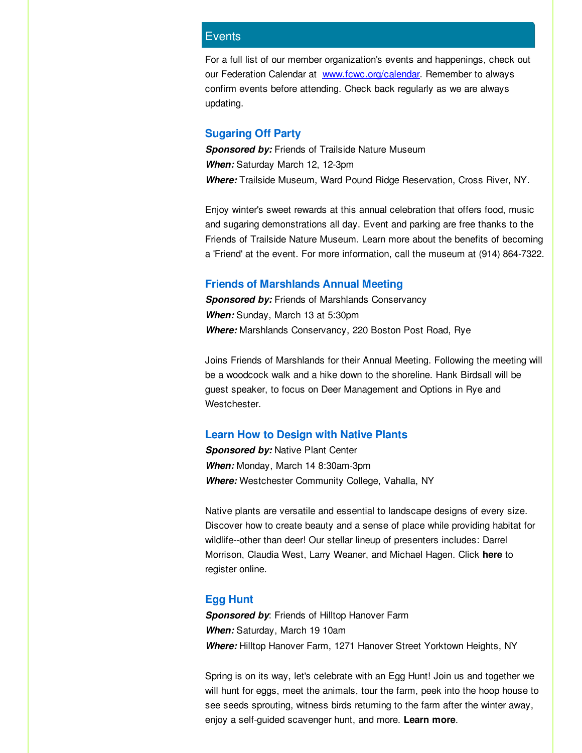#### **Events**

For a full list of our member organization's events and happenings, check out our Federation Calendar at [www.fcwc.org/calendar](http://r20.rs6.net/tn.jsp?f=0015oD_RrdtRM47rXRe36hAja--dt-fg56Elobhwm1R1TeimWIunxAJxCoFLX7PQfGMxw4En-Z7cTg52wW_1xTQ8HFnrb3QbmO6h8rYCOuinnFjNO2NH_1uUrNv9PWR_YeN2f-rhFWElHHkEjgFomj3SHTHwCIdvV6LIQRaYcLkM83VWMV0ui8RZglooaBSJqmY&c=&ch=). Remember to always confirm events before attending. Check back regularly as we are always updating.

#### **Sugaring Off Party**

*Sponsored by:* Friends of Trailside Nature Museum *When:* Saturday March 12, 12-3pm *Where:* Trailside Museum, Ward Pound Ridge Reservation, Cross River, NY.

Enjoy winter's sweet rewards at this annual celebration that offers food, music and sugaring demonstrations all day. Event and parking are free thanks to the Friends of Trailside Nature Museum. Learn more about the benefits of becoming a 'Friend' at the event. For more information, call the museum at (914) 864-7322.

#### **Friends of Marshlands Annual Meeting**

**Sponsored by:** Friends of Marshlands Conservancy *When:* Sunday, March 13 at 5:30pm *Where:* Marshlands Conservancy, 220 Boston Post Road, Rye

Joins Friends of Marshlands for their Annual Meeting. Following the meeting will be a woodcock walk and a hike down to the shoreline. Hank Birdsall will be guest speaker, to focus on Deer Management and Options in Rye and Westchester.

#### **Learn How to Design with Native Plants**

**Sponsored by: Native Plant Center** *When:* Monday, March 14 8:30am-3pm *Where:* Westchester Community College, Vahalla, NY

Native plants are versatile and essential to landscape designs of every size. Discover how to create beauty and a sense of place while providing habitat for wildlife--other than deer! Our stellar lineup of presenters includes: Darrel Morrison, Claudia West, Larry Weaner, and Michael Hagen. Click **[here](http://r20.rs6.net/tn.jsp?f=0015oD_RrdtRM47rXRe36hAja--dt-fg56Elobhwm1R1TeimWIunxAJxFWNoCaJvQmDaDiZhX-ASP4wzN05rVWWXzL8cq_18cR1HJ0AZXKguxgV4hIqqUdmuDHY4Mjt1WSbeF2L3ArU5lZ4oS2RMA9HAp8yooos7mOrAUEoi4ZPjyQyGCeZwwcpQbxDU3w5bMkEJ65vgXc6U3swEg1beK9CnvmnwIRAa4S_JhQnhLVBaMUMN4htSMetKw==&c=&ch=)** to register online.

#### **Egg Hunt**

*Sponsored by*: Friends of Hilltop Hanover Farm *When:* Saturday, March 19 10am *Where:* Hilltop Hanover Farm, 1271 Hanover Street Yorktown Heights, NY

Spring is on its way, let's celebrate with an Egg Hunt! Join us and together we will hunt for eggs, meet the animals, tour the farm, peek into the hoop house to see seeds sprouting, witness birds returning to the farm after the winter away, enjoy a self-guided scavenger hunt, and more. **[Learn](http://r20.rs6.net/tn.jsp?f=0015oD_RrdtRM47rXRe36hAja--dt-fg56Elobhwm1R1TeimWIunxAJxHjAkCZYiC5a7EnsjG_koPKra-QhJHy_HElqHEupXz-94SRzYcVkmb4w_iytIxHizwQbmRPG2ammmp-GViCjlpdGRPjXk9SP7JVBPwINpf70Rju66K2uoJIpE-1J_qBv_ZplrdOme0Cj&c=&ch=) more**.